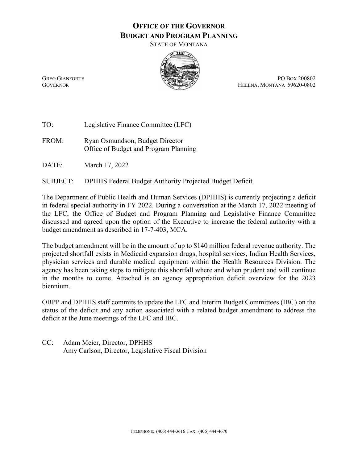## **OFFICE OF THE GOVERNOR BUDGET AND PROGRAM PLANNING**

STATE OF MONTANA



GREG GIANFORTE PO BOX 200802 GOVERNOR HELENA, MONTANA 59620-0802

TO: Legislative Finance Committee (LFC)

FROM: Ryan Osmundson, Budget Director Office of Budget and Program Planning

DATE: March 17, 2022

SUBJECT: DPHHS Federal Budget Authority Projected Budget Deficit

The Department of Public Health and Human Services (DPHHS) is currently projecting a deficit in federal special authority in FY 2022. During a conversation at the March 17, 2022 meeting of the LFC, the Office of Budget and Program Planning and Legislative Finance Committee discussed and agreed upon the option of the Executive to increase the federal authority with a budget amendment as described in 17-7-403, MCA.

The budget amendment will be in the amount of up to \$140 million federal revenue authority. The projected shortfall exists in Medicaid expansion drugs, hospital services, Indian Health Services, physician services and durable medical equipment within the Health Resources Division. The agency has been taking steps to mitigate this shortfall where and when prudent and will continue in the months to come. Attached is an agency appropriation deficit overview for the 2023 biennium.

OBPP and DPHHS staff commits to update the LFC and Interim Budget Committees (IBC) on the status of the deficit and any action associated with a related budget amendment to address the deficit at the June meetings of the LFC and IBC.

CC: Adam Meier, Director, DPHHS Amy Carlson, Director, Legislative Fiscal Division